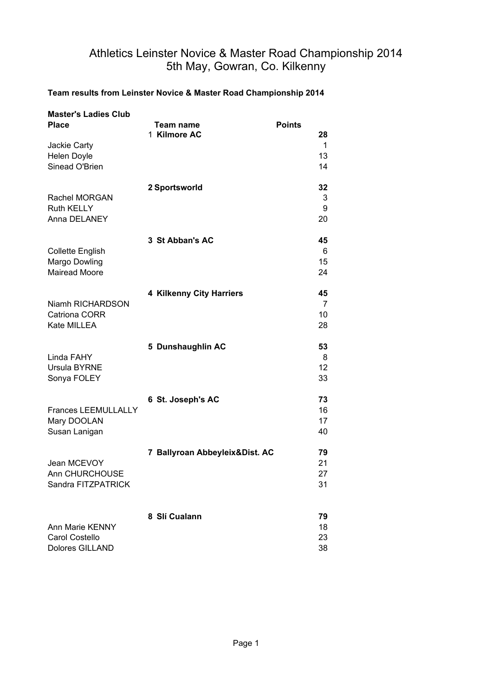# Athletics Leinster Novice & Master Road Championship 2014 5th May, Gowran, Co. Kilkenny

### **Team results from Leinster Novice & Master Road Championship 2014**

| <b>Master's Ladies Club</b><br><b>Place</b>                      | Team name<br>1 Kilmore AC      | <b>Points</b><br>28  |
|------------------------------------------------------------------|--------------------------------|----------------------|
| Jackie Carty<br>Helen Doyle<br>Sinead O'Brien                    |                                | 1<br>13<br>14        |
| Rachel MORGAN<br><b>Ruth KELLY</b><br>Anna DELANEY               | 2 Sportsworld                  | 32<br>3<br>9<br>20   |
| <b>Collette English</b><br>Margo Dowling<br><b>Mairead Moore</b> | 3 St Abban's AC                | 45<br>6<br>15<br>24  |
| Niamh RICHARDSON<br>Catriona CORR<br>Kate MILLEA                 | 4 Kilkenny City Harriers       | 45<br>7<br>10<br>28  |
| Linda FAHY<br>Ursula BYRNE<br>Sonya FOLEY                        | 5 Dunshaughlin AC              | 53<br>8<br>12<br>33  |
| <b>Frances LEEMULLALLY</b><br>Mary DOOLAN<br>Susan Lanigan       | 6 St. Joseph's AC              | 73<br>16<br>17<br>40 |
| Jean MCEVOY<br>Ann CHURCHOUSE<br>Sandra FITZPATRICK              | 7 Ballyroan Abbeyleix&Dist. AC | 79<br>21<br>27<br>31 |
| Ann Marie KENNY<br>Carol Costello<br>Dolores GILLAND             | 8 Slí Cualann                  | 79<br>18<br>23<br>38 |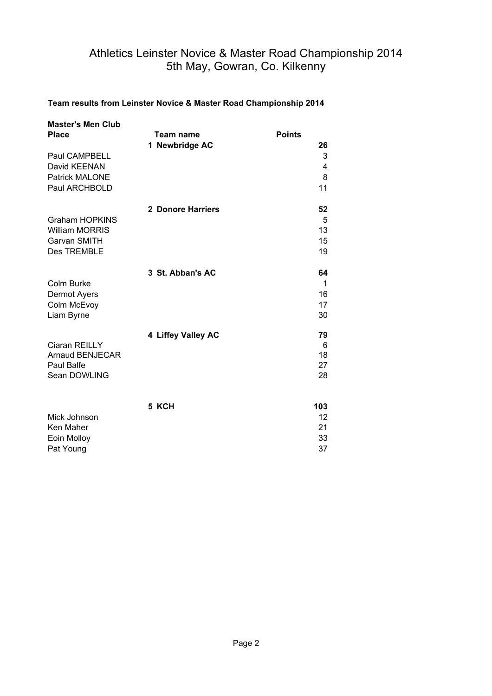## Athletics Leinster Novice & Master Road Championship 2014 5th May, Gowran, Co. Kilkenny

#### **Team results from Leinster Novice & Master Road Championship 2014**

| <b>Master's Men Club</b><br><b>Place</b>       | Team name<br>1 Newbridge AC | <b>Points</b><br>26 |
|------------------------------------------------|-----------------------------|---------------------|
| Paul CAMPBELL<br>David KEENAN                  |                             | 3<br>4              |
| <b>Patrick MALONE</b>                          |                             | 8                   |
| Paul ARCHBOLD                                  |                             | 11                  |
|                                                | 2 Donore Harriers           | 52                  |
| <b>Graham HOPKINS</b><br><b>William MORRIS</b> |                             | 5<br>13             |
| Garvan SMITH                                   |                             | 15                  |
| Des TREMBLE                                    |                             | 19                  |
|                                                | 3 St. Abban's AC            | 64                  |
| Colm Burke<br>Dermot Ayers                     |                             | 1<br>16             |
| Colm McEvoy                                    |                             | 17                  |
| Liam Byrne                                     |                             | 30                  |
|                                                | 4 Liffey Valley AC          | 79                  |
| Ciaran REILLY<br><b>Arnaud BENJECAR</b>        |                             | 6<br>18             |
| Paul Balfe                                     |                             | 27                  |
| Sean DOWLING                                   |                             | 28                  |
|                                                | 5 KCH                       | 103                 |
| Mick Johnson                                   |                             | $12 \overline{ }$   |
| Ken Maher                                      |                             | 21                  |
| Eoin Molloy                                    |                             | 33                  |
| Pat Young                                      |                             | 37                  |